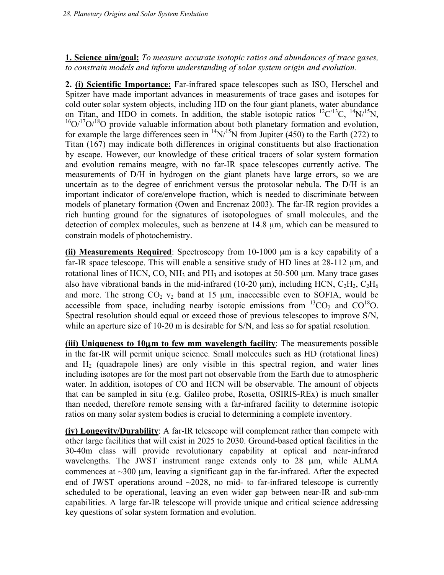**1. Science aim/goal:** *To measure accurate isotopic ratios and abundances of trace gases, to constrain models and inform understanding of solar system origin and evolution.*

**2. (i) Scientific Importance:** Far-infrared space telescopes such as ISO, Herschel and Spitzer have made important advances in measurements of trace gases and isotopes for cold outer solar system objects, including HD on the four giant planets, water abundance on Titan, and HDO in comets. In addition, the stable isotopic ratios  ${}^{12}C^{13}C$ ,  ${}^{14}N/{}^{15}N$ ,  $16O^{17}O^{18}O$  provide valuable information about both planetary formation and evolution, for example the large differences seen in  $^{14}N/^{15}N$  from Jupiter (450) to the Earth (272) to Titan (167) may indicate both differences in original constituents but also fractionation by escape. However, our knowledge of these critical tracers of solar system formation and evolution remains meagre, with no far-IR space telescopes currently active. The measurements of D/H in hydrogen on the giant planets have large errors, so we are uncertain as to the degree of enrichment versus the protosolar nebula. The D/H is an important indicator of core/envelope fraction, which is needed to discriminate between models of planetary formation (Owen and Encrenaz 2003). The far-IR region provides a rich hunting ground for the signatures of isotopologues of small molecules, and the detection of complex molecules, such as benzene at 14.8 µm, which can be measured to constrain models of photochemistry.

**(ii) Measurements Required**: Spectroscopy from 10-1000 µm is a key capability of a far-IR space telescope. This will enable a sensitive study of HD lines at 28-112  $\mu$ m, and rotational lines of HCN, CO, NH<sub>3</sub> and PH<sub>3</sub> and isotopes at 50-500  $\mu$ m. Many trace gases also have vibrational bands in the mid-infrared (10-20  $\mu$ m), including HCN, C<sub>2</sub>H<sub>2</sub>, C<sub>2</sub>H<sub>6</sub> and more. The strong  $CO<sub>2</sub>$  v<sub>2</sub> band at 15  $\mu$ m, inaccessible even to SOFIA, would be accessible from space, including nearby isotopic emissions from  ${}^{13}CO_2$  and  $CO{}^{18}O$ . Spectral resolution should equal or exceed those of previous telescopes to improve S/N, while an aperture size of 10-20 m is desirable for S/N, and less so for spatial resolution.

**(iii) Uniqueness to 10**µ**m to few mm wavelength facility**: The measurements possible in the far-IR will permit unique science. Small molecules such as HD (rotational lines) and  $H_2$  (quadrapole lines) are only visible in this spectral region, and water lines including isotopes are for the most part not observable from the Earth due to atmospheric water. In addition, isotopes of CO and HCN will be observable. The amount of objects that can be sampled in situ (e.g. Galileo probe, Rosetta, OSIRIS-REx) is much smaller than needed, therefore remote sensing with a far-infrared facility to determine isotopic ratios on many solar system bodies is crucial to determining a complete inventory.

**(iv) Longevity/Durability**: A far-IR telescope will complement rather than compete with other large facilities that will exist in 2025 to 2030. Ground-based optical facilities in the 30-40m class will provide revolutionary capability at optical and near-infrared wavelengths. The JWST instrument range extends only to 28 µm, while ALMA commences at  $\sim$ 300 µm, leaving a significant gap in the far-infrared. After the expected end of JWST operations around  $\sim$ 2028, no mid- to far-infrared telescope is currently scheduled to be operational, leaving an even wider gap between near-IR and sub-mm capabilities. A large far-IR telescope will provide unique and critical science addressing key questions of solar system formation and evolution.